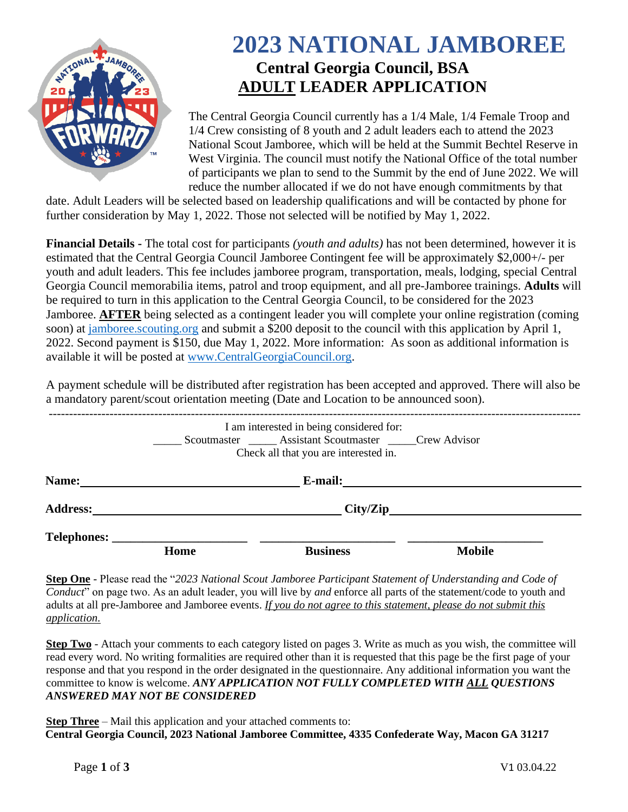

# **2023 NATIONAL JAMBOREE Central Georgia Council, BSA ADULT LEADER APPLICATION**

The Central Georgia Council currently has a 1/4 Male, 1/4 Female Troop and 1/4 Crew consisting of 8 youth and 2 adult leaders each to attend the 2023 National Scout Jamboree, which will be held at the Summit Bechtel Reserve in West Virginia. The council must notify the National Office of the total number of participants we plan to send to the Summit by the end of June 2022. We will reduce the number allocated if we do not have enough commitments by that

date. Adult Leaders will be selected based on leadership qualifications and will be contacted by phone for further consideration by May 1, 2022. Those not selected will be notified by May 1, 2022.

**Financial Details -** The total cost for participants *(youth and adults)* has not been determined, however it is estimated that the Central Georgia Council Jamboree Contingent fee will be approximately \$2,000+/- per youth and adult leaders. This fee includes jamboree program, transportation, meals, lodging, special Central Georgia Council memorabilia items, patrol and troop equipment, and all pre-Jamboree trainings. **Adults** will be required to turn in this application to the Central Georgia Council, to be considered for the 2023 Jamboree. **AFTER** being selected as a contingent leader you will complete your online registration (coming soon) at<jamboree.scouting.org> and submit a \$200 deposit to the council with this application by April 1, 2022. Second payment is \$150, due May 1, 2022. More information: As soon as additional information is available it will be posted at [www.CentralGeorgiaCouncil.org.](http://www.centralgeorgiacouncil.org/)

A payment schedule will be distributed after registration has been accepted and approved. There will also be a mandatory parent/scout orientation meeting (Date and Location to be announced soon).

|                 |          | I am interested in being considered for:<br>Scoutmaster _______ Assistant Scoutmaster _______ Crew Advisor<br>Check all that you are interested in. |               |  |
|-----------------|----------|-----------------------------------------------------------------------------------------------------------------------------------------------------|---------------|--|
| Name:           |          | <b>E-mail:</b> <u>______________</u>                                                                                                                |               |  |
| <b>Address:</b> | City/Zip |                                                                                                                                                     |               |  |
|                 | Home     | <b>Business</b>                                                                                                                                     | <b>Mobile</b> |  |

**Step One** - Please read the "*2023 National Scout Jamboree Participant Statement of Understanding and Code of Conduct*" on page two. As an adult leader, you will live by *and* enforce all parts of the statement/code to youth and adults at all pre-Jamboree and Jamboree events. *If you do not agree to this statement, please do not submit this application.*

**Step Two** - Attach your comments to each category listed on pages 3. Write as much as you wish, the committee will read every word. No writing formalities are required other than it is requested that this page be the first page of your response and that you respond in the order designated in the questionnaire. Any additional information you want the committee to know is welcome. *ANY APPLICATION NOT FULLY COMPLETED WITH ALL QUESTIONS ANSWERED MAY NOT BE CONSIDERED*

**Step Three** – Mail this application and your attached comments to: **Central Georgia Council, 2023 National Jamboree Committee, 4335 Confederate Way, Macon GA 31217**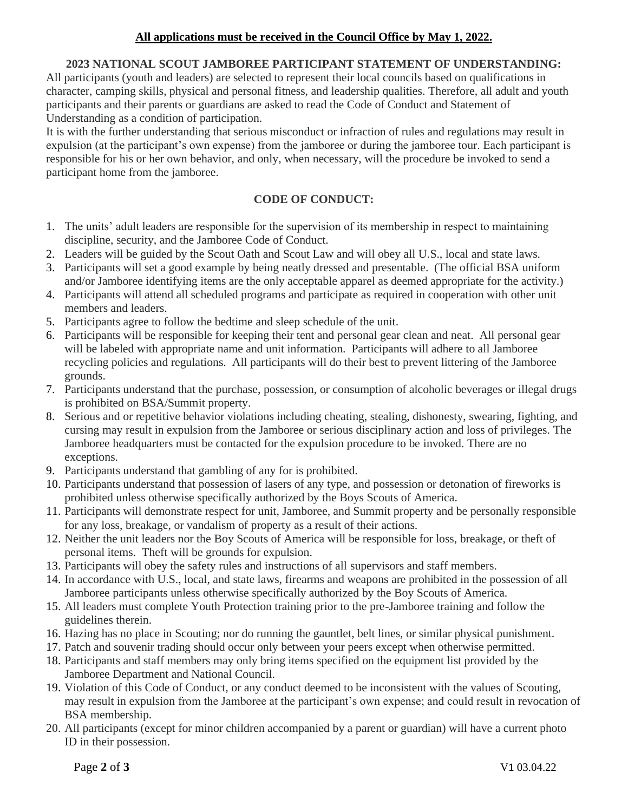### **All applications must be received in the Council Office by May 1, 2022.**

## **2023 NATIONAL SCOUT JAMBOREE PARTICIPANT STATEMENT OF UNDERSTANDING:**

All participants (youth and leaders) are selected to represent their local councils based on qualifications in character, camping skills, physical and personal fitness, and leadership qualities. Therefore, all adult and youth participants and their parents or guardians are asked to read the Code of Conduct and Statement of Understanding as a condition of participation.

It is with the further understanding that serious misconduct or infraction of rules and regulations may result in expulsion (at the participant's own expense) from the jamboree or during the jamboree tour. Each participant is responsible for his or her own behavior, and only, when necessary, will the procedure be invoked to send a participant home from the jamboree.

### **CODE OF CONDUCT:**

- 1. The units' adult leaders are responsible for the supervision of its membership in respect to maintaining discipline, security, and the Jamboree Code of Conduct.
- 2. Leaders will be guided by the Scout Oath and Scout Law and will obey all U.S., local and state laws.
- 3. Participants will set a good example by being neatly dressed and presentable. (The official BSA uniform and/or Jamboree identifying items are the only acceptable apparel as deemed appropriate for the activity.)
- 4. Participants will attend all scheduled programs and participate as required in cooperation with other unit members and leaders.
- 5. Participants agree to follow the bedtime and sleep schedule of the unit.
- 6. Participants will be responsible for keeping their tent and personal gear clean and neat. All personal gear will be labeled with appropriate name and unit information. Participants will adhere to all Jamboree recycling policies and regulations. All participants will do their best to prevent littering of the Jamboree grounds.
- 7. Participants understand that the purchase, possession, or consumption of alcoholic beverages or illegal drugs is prohibited on BSA/Summit property.
- 8. Serious and or repetitive behavior violations including cheating, stealing, dishonesty, swearing, fighting, and cursing may result in expulsion from the Jamboree or serious disciplinary action and loss of privileges. The Jamboree headquarters must be contacted for the expulsion procedure to be invoked. There are no exceptions.
- 9. Participants understand that gambling of any for is prohibited.
- 10. Participants understand that possession of lasers of any type, and possession or detonation of fireworks is prohibited unless otherwise specifically authorized by the Boys Scouts of America.
- 11. Participants will demonstrate respect for unit, Jamboree, and Summit property and be personally responsible for any loss, breakage, or vandalism of property as a result of their actions.
- 12. Neither the unit leaders nor the Boy Scouts of America will be responsible for loss, breakage, or theft of personal items. Theft will be grounds for expulsion.
- 13. Participants will obey the safety rules and instructions of all supervisors and staff members.
- 14. In accordance with U.S., local, and state laws, firearms and weapons are prohibited in the possession of all Jamboree participants unless otherwise specifically authorized by the Boy Scouts of America.
- 15. All leaders must complete Youth Protection training prior to the pre-Jamboree training and follow the guidelines therein.
- 16. Hazing has no place in Scouting; nor do running the gauntlet, belt lines, or similar physical punishment.
- 17. Patch and souvenir trading should occur only between your peers except when otherwise permitted.
- 18. Participants and staff members may only bring items specified on the equipment list provided by the Jamboree Department and National Council.
- 19. Violation of this Code of Conduct, or any conduct deemed to be inconsistent with the values of Scouting, may result in expulsion from the Jamboree at the participant's own expense; and could result in revocation of BSA membership.
- 20. All participants (except for minor children accompanied by a parent or guardian) will have a current photo ID in their possession.